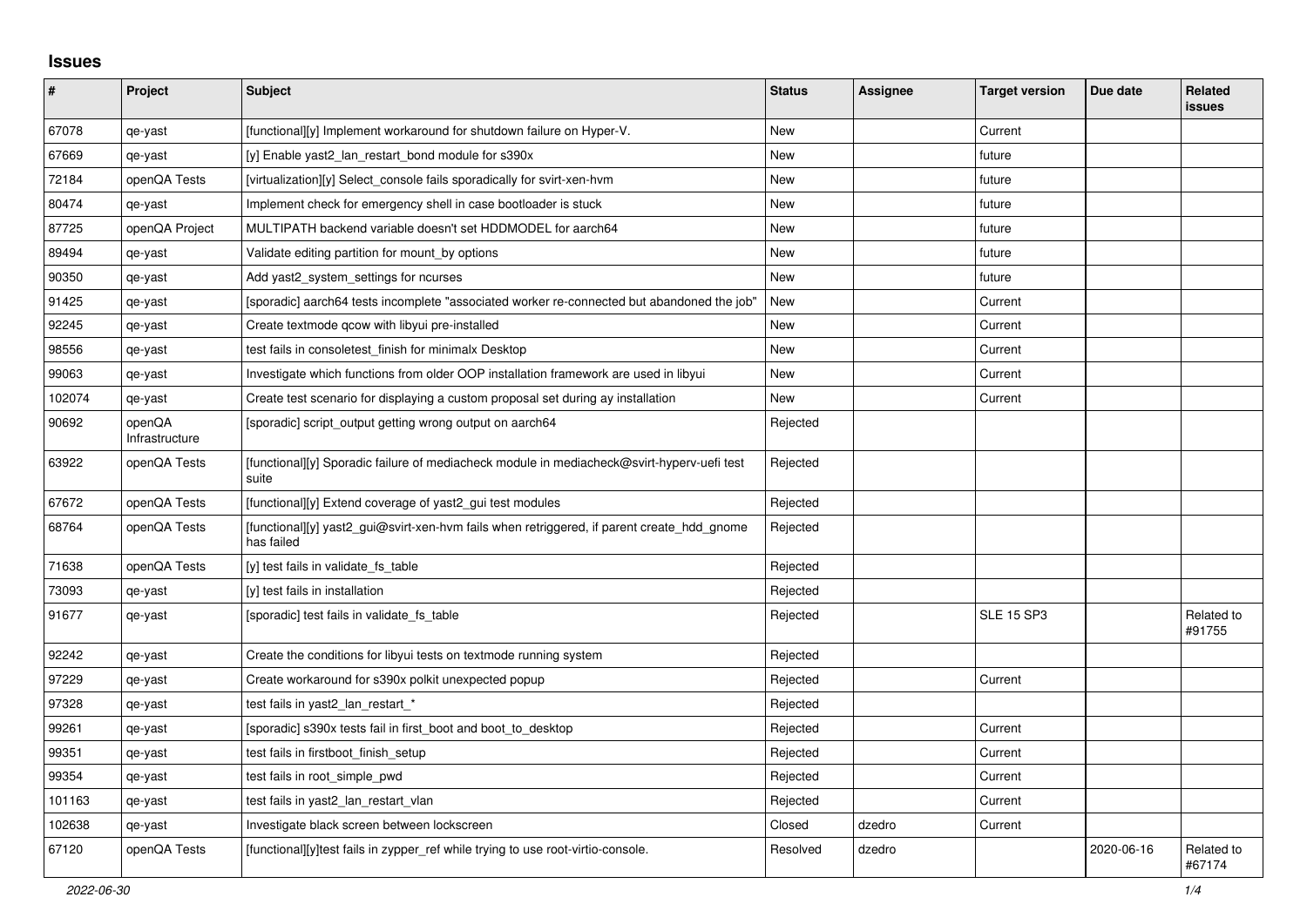## **Issues**

| #      | <b>Project</b>           | Subject                                                                                                  | <b>Status</b> | <b>Assignee</b> | <b>Target version</b> | Due date   | <b>Related</b><br><b>issues</b> |
|--------|--------------------------|----------------------------------------------------------------------------------------------------------|---------------|-----------------|-----------------------|------------|---------------------------------|
| 67078  | qe-yast                  | [functional][y] Implement workaround for shutdown failure on Hyper-V.                                    | New           |                 | Current               |            |                                 |
| 67669  | qe-yast                  | [y] Enable yast2_lan_restart_bond module for s390x                                                       | New           |                 | future                |            |                                 |
| 72184  | openQA Tests             | [virtualization][y] Select console fails sporadically for svirt-xen-hym                                  | New           |                 | future                |            |                                 |
| 80474  | qe-yast                  | Implement check for emergency shell in case bootloader is stuck                                          | New           |                 | future                |            |                                 |
| 87725  | openQA Project           | MULTIPATH backend variable doesn't set HDDMODEL for aarch64                                              | New           |                 | future                |            |                                 |
| 89494  | qe-yast                  | Validate editing partition for mount_by options                                                          | <b>New</b>    |                 | future                |            |                                 |
| 90350  | qe-yast                  | Add yast2_system_settings for ncurses                                                                    | <b>New</b>    |                 | future                |            |                                 |
| 91425  | qe-yast                  | [sporadic] aarch64 tests incomplete "associated worker re-connected but abandoned the job"               | New           |                 | Current               |            |                                 |
| 92245  | qe-yast                  | Create textmode qcow with libyui pre-installed                                                           | New           |                 | Current               |            |                                 |
| 98556  | qe-yast                  | test fails in consoletest finish for minimalx Desktop                                                    | New           |                 | Current               |            |                                 |
| 99063  | qe-yast                  | Investigate which functions from older OOP installation framework are used in libyui                     | New           |                 | Current               |            |                                 |
| 102074 | qe-yast                  | Create test scenario for displaying a custom proposal set during ay installation                         | New           |                 | Current               |            |                                 |
| 90692  | openQA<br>Infrastructure | [sporadic] script_output getting wrong output on aarch64                                                 | Rejected      |                 |                       |            |                                 |
| 63922  | openQA Tests             | [functional][y] Sporadic failure of mediacheck module in mediacheck@svirt-hyperv-uefi test<br>suite      | Rejected      |                 |                       |            |                                 |
| 67672  | openQA Tests             | [functional][y] Extend coverage of yast2 gui test modules                                                | Rejected      |                 |                       |            |                                 |
| 68764  | openQA Tests             | [functional][y] yast2 gui@svirt-xen-hvm fails when retriggered, if parent create hdd gnome<br>has failed | Rejected      |                 |                       |            |                                 |
| 71638  | openQA Tests             | [y] test fails in validate fs_table                                                                      | Rejected      |                 |                       |            |                                 |
| 73093  | qe-yast                  | [y] test fails in installation                                                                           | Rejected      |                 |                       |            |                                 |
| 91677  | qe-yast                  | [sporadic] test fails in validate_fs_table                                                               | Rejected      |                 | <b>SLE 15 SP3</b>     |            | Related to<br>#91755            |
| 92242  | qe-yast                  | Create the conditions for libyui tests on textmode running system                                        | Rejected      |                 |                       |            |                                 |
| 97229  | qe-yast                  | Create workaround for s390x polkit unexpected popup                                                      | Rejected      |                 | Current               |            |                                 |
| 97328  | qe-yast                  | test fails in yast2_lan_restart_*                                                                        | Rejected      |                 |                       |            |                                 |
| 99261  | qe-yast                  | [sporadic] s390x tests fail in first boot and boot to desktop                                            | Rejected      |                 | Current               |            |                                 |
| 99351  | qe-yast                  | test fails in firstboot_finish_setup                                                                     | Rejected      |                 | Current               |            |                                 |
| 99354  | qe-yast                  | test fails in root simple pwd                                                                            | Rejected      |                 | Current               |            |                                 |
| 101163 | qe-yast                  | test fails in yast2 lan restart vlan                                                                     | Rejected      |                 | Current               |            |                                 |
| 102638 | qe-yast                  | Investigate black screen between lockscreen                                                              | Closed        | dzedro          | Current               |            |                                 |
| 67120  | openQA Tests             | [functional][y]test fails in zypper_ref while trying to use root-virtio-console.                         | Resolved      | dzedro          |                       | 2020-06-16 | Related to<br>#67174            |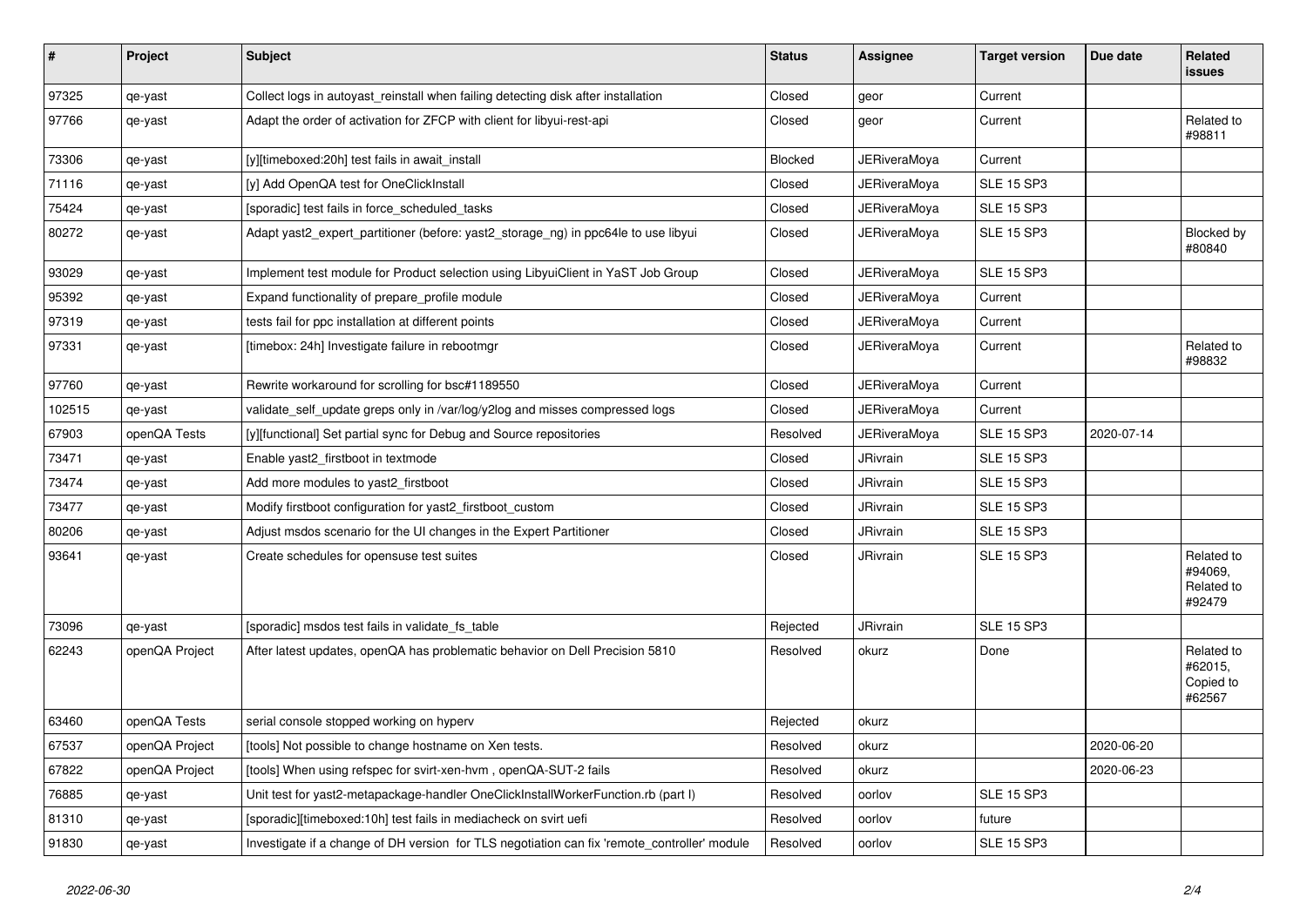| $\sharp$ | Project        | <b>Subject</b>                                                                               | <b>Status</b>  | Assignee            | <b>Target version</b> | Due date   | Related<br><b>issues</b>                      |
|----------|----------------|----------------------------------------------------------------------------------------------|----------------|---------------------|-----------------------|------------|-----------------------------------------------|
| 97325    | qe-yast        | Collect logs in autoyast reinstall when failing detecting disk after installation            | Closed         | geor                | Current               |            |                                               |
| 97766    | qe-yast        | Adapt the order of activation for ZFCP with client for libyui-rest-api                       | Closed         | geor                | Current               |            | Related to<br>#98811                          |
| 73306    | qe-yast        | [y][timeboxed:20h] test fails in await_install                                               | <b>Blocked</b> | <b>JERiveraMoya</b> | Current               |            |                                               |
| 71116    | qe-yast        | [y] Add OpenQA test for OneClickInstall                                                      | Closed         | JERiveraMoya        | <b>SLE 15 SP3</b>     |            |                                               |
| 75424    | qe-yast        | [sporadic] test fails in force_scheduled_tasks                                               | Closed         | JERiveraMoya        | <b>SLE 15 SP3</b>     |            |                                               |
| 80272    | qe-yast        | Adapt yast2_expert_partitioner (before: yast2_storage_ng) in ppc64le to use libyui           | Closed         | JERiveraMoya        | <b>SLE 15 SP3</b>     |            | Blocked by<br>#80840                          |
| 93029    | qe-yast        | Implement test module for Product selection using LibyuiClient in YaST Job Group             | Closed         | JERiveraMoya        | <b>SLE 15 SP3</b>     |            |                                               |
| 95392    | qe-yast        | Expand functionality of prepare_profile module                                               | Closed         | <b>JERiveraMoya</b> | Current               |            |                                               |
| 97319    | qe-yast        | tests fail for ppc installation at different points                                          | Closed         | JERiveraMoya        | Current               |            |                                               |
| 97331    | qe-yast        | [timebox: 24h] Investigate failure in rebootmgr                                              | Closed         | JERiveraMoya        | Current               |            | Related to<br>#98832                          |
| 97760    | qe-yast        | Rewrite workaround for scrolling for bsc#1189550                                             | Closed         | JERiveraMoya        | Current               |            |                                               |
| 102515   | qe-yast        | validate_self_update greps only in /var/log/y2log and misses compressed logs                 | Closed         | <b>JERiveraMoya</b> | Current               |            |                                               |
| 67903    | openQA Tests   | [y][functional] Set partial sync for Debug and Source repositories                           | Resolved       | JERiveraMoya        | <b>SLE 15 SP3</b>     | 2020-07-14 |                                               |
| 73471    | qe-yast        | Enable yast2_firstboot in textmode                                                           | Closed         | <b>JRivrain</b>     | <b>SLE 15 SP3</b>     |            |                                               |
| 73474    | qe-yast        | Add more modules to yast2 firstboot                                                          | Closed         | <b>JRivrain</b>     | <b>SLE 15 SP3</b>     |            |                                               |
| 73477    | qe-yast        | Modify firstboot configuration for yast2 firstboot custom                                    | Closed         | JRivrain            | <b>SLE 15 SP3</b>     |            |                                               |
| 80206    | qe-yast        | Adjust msdos scenario for the UI changes in the Expert Partitioner                           | Closed         | JRivrain            | <b>SLE 15 SP3</b>     |            |                                               |
| 93641    | qe-yast        | Create schedules for opensuse test suites                                                    | Closed         | <b>JRivrain</b>     | <b>SLE 15 SP3</b>     |            | Related to<br>#94069,<br>Related to<br>#92479 |
| 73096    | qe-yast        | [sporadic] msdos test fails in validate_fs_table                                             | Rejected       | <b>JRivrain</b>     | <b>SLE 15 SP3</b>     |            |                                               |
| 62243    | openQA Project | After latest updates, openQA has problematic behavior on Dell Precision 5810                 | Resolved       | okurz               | Done                  |            | Related to<br>#62015,<br>Copied to<br>#62567  |
| 63460    | openQA Tests   | serial console stopped working on hyperv                                                     | Rejected       | okurz               |                       |            |                                               |
| 67537    | openQA Project | [tools] Not possible to change hostname on Xen tests.                                        | Resolved       | okurz               |                       | 2020-06-20 |                                               |
| 67822    | openQA Project | [tools] When using refspec for svirt-xen-hvm, openQA-SUT-2 fails                             | Resolved       | okurz               |                       | 2020-06-23 |                                               |
| 76885    | qe-yast        | Unit test for yast2-metapackage-handler OneClickInstallWorkerFunction.rb (part I)            | Resolved       | oorlov              | <b>SLE 15 SP3</b>     |            |                                               |
| 81310    | qe-yast        | [sporadic][timeboxed:10h] test fails in mediacheck on svirt uefi                             | Resolved       | oorlov              | future                |            |                                               |
| 91830    | qe-yast        | Investigate if a change of DH version for TLS negotiation can fix 'remote_controller' module | Resolved       | oorlov              | <b>SLE 15 SP3</b>     |            |                                               |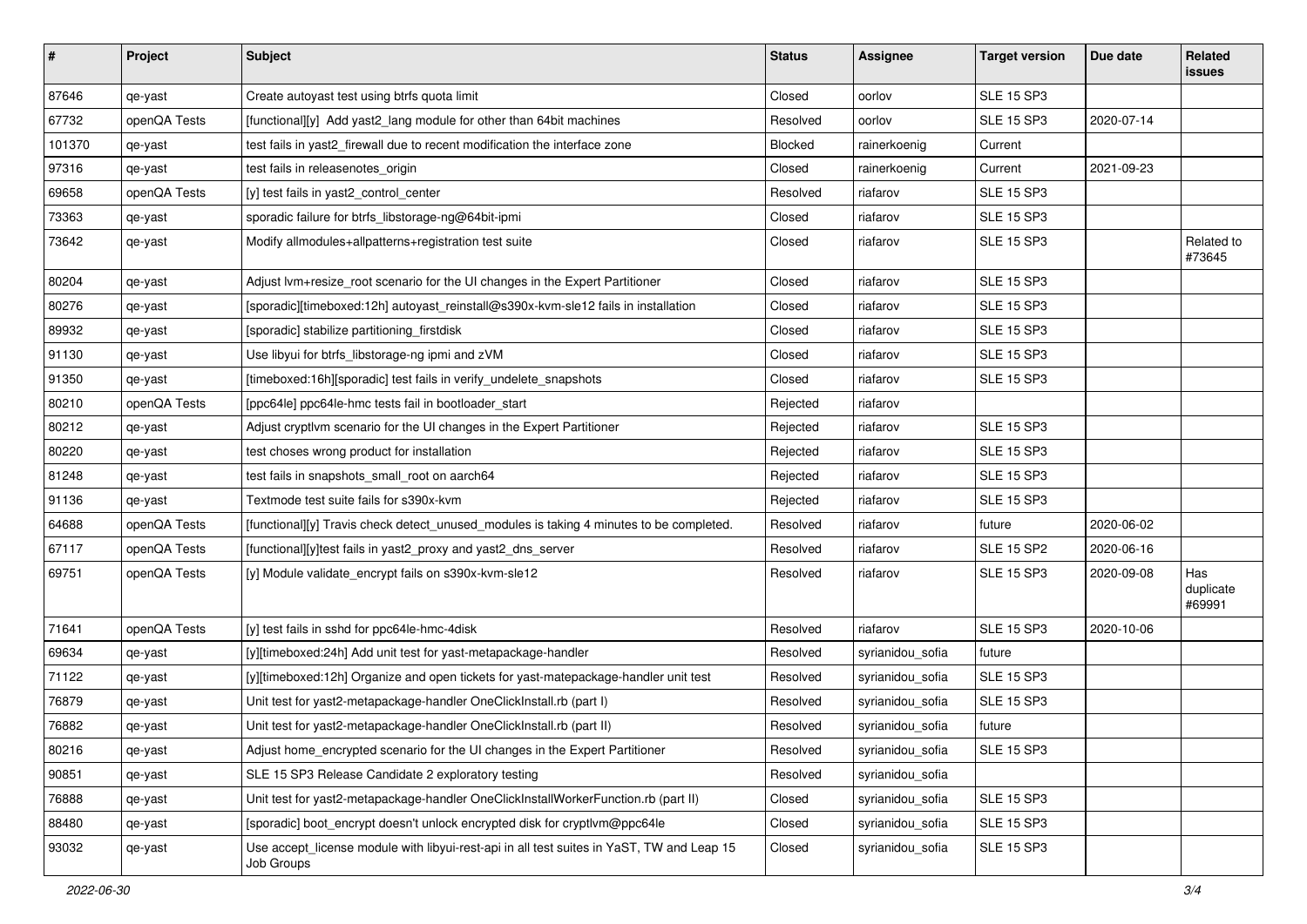| $\vert$ # | Project      | <b>Subject</b>                                                                                          | <b>Status</b>  | <b>Assignee</b>  | <b>Target version</b> | Due date   | Related<br><b>issues</b>   |
|-----------|--------------|---------------------------------------------------------------------------------------------------------|----------------|------------------|-----------------------|------------|----------------------------|
| 87646     | qe-yast      | Create autoyast test using btrfs quota limit                                                            | Closed         | oorlov           | <b>SLE 15 SP3</b>     |            |                            |
| 67732     | openQA Tests | [functional][y] Add yast2_lang module for other than 64bit machines                                     | Resolved       | oorlov           | <b>SLE 15 SP3</b>     | 2020-07-14 |                            |
| 101370    | qe-yast      | test fails in yast2_firewall due to recent modification the interface zone                              | <b>Blocked</b> | rainerkoenig     | Current               |            |                            |
| 97316     | qe-yast      | test fails in releasenotes_origin                                                                       | Closed         | rainerkoenig     | Current               | 2021-09-23 |                            |
| 69658     | openQA Tests | [y] test fails in yast2 control center                                                                  | Resolved       | riafarov         | <b>SLE 15 SP3</b>     |            |                            |
| 73363     | qe-yast      | sporadic failure for btrfs_libstorage-ng@64bit-ipmi                                                     | Closed         | riafarov         | <b>SLE 15 SP3</b>     |            |                            |
| 73642     | qe-yast      | Modify allmodules+allpatterns+registration test suite                                                   | Closed         | riafarov         | <b>SLE 15 SP3</b>     |            | Related to<br>#73645       |
| 80204     | qe-yast      | Adjust lvm+resize_root scenario for the UI changes in the Expert Partitioner                            | Closed         | riafarov         | <b>SLE 15 SP3</b>     |            |                            |
| 80276     | qe-yast      | [sporadic][timeboxed:12h] autoyast_reinstall@s390x-kvm-sle12 fails in installation                      | Closed         | riafarov         | <b>SLE 15 SP3</b>     |            |                            |
| 89932     | qe-yast      | [sporadic] stabilize partitioning_firstdisk                                                             | Closed         | riafarov         | <b>SLE 15 SP3</b>     |            |                            |
| 91130     | qe-yast      | Use libyui for btrfs_libstorage-ng ipmi and zVM                                                         | Closed         | riafarov         | <b>SLE 15 SP3</b>     |            |                            |
| 91350     | qe-yast      | [timeboxed:16h][sporadic] test fails in verify_undelete_snapshots                                       | Closed         | riafarov         | <b>SLE 15 SP3</b>     |            |                            |
| 80210     | openQA Tests | [ppc64le] ppc64le-hmc tests fail in bootloader_start                                                    | Rejected       | riafarov         |                       |            |                            |
| 80212     | qe-yast      | Adjust cryptivm scenario for the UI changes in the Expert Partitioner                                   | Rejected       | riafarov         | <b>SLE 15 SP3</b>     |            |                            |
| 80220     | qe-yast      | test choses wrong product for installation                                                              | Rejected       | riafarov         | <b>SLE 15 SP3</b>     |            |                            |
| 81248     | qe-yast      | test fails in snapshots_small_root on aarch64                                                           | Rejected       | riafarov         | <b>SLE 15 SP3</b>     |            |                            |
| 91136     | qe-yast      | Textmode test suite fails for s390x-kvm                                                                 | Rejected       | riafarov         | <b>SLE 15 SP3</b>     |            |                            |
| 64688     | openQA Tests | [functional][y] Travis check detect_unused_modules is taking 4 minutes to be completed.                 | Resolved       | riafarov         | future                | 2020-06-02 |                            |
| 67117     | openQA Tests | [functional][y]test fails in yast2 proxy and yast2 dns server                                           | Resolved       | riafarov         | <b>SLE 15 SP2</b>     | 2020-06-16 |                            |
| 69751     | openQA Tests | [y] Module validate_encrypt fails on s390x-kvm-sle12                                                    | Resolved       | riafarov         | <b>SLE 15 SP3</b>     | 2020-09-08 | Has<br>duplicate<br>#69991 |
| 71641     | openQA Tests | [y] test fails in sshd for ppc64le-hmc-4disk                                                            | Resolved       | riafarov         | <b>SLE 15 SP3</b>     | 2020-10-06 |                            |
| 69634     | qe-yast      | [y][timeboxed:24h] Add unit test for yast-metapackage-handler                                           | Resolved       | syrianidou_sofia | future                |            |                            |
| 71122     | qe-yast      | [y][timeboxed:12h] Organize and open tickets for yast-matepackage-handler unit test                     | Resolved       | syrianidou_sofia | <b>SLE 15 SP3</b>     |            |                            |
| 76879     | qe-yast      | Unit test for yast2-metapackage-handler OneClickInstall.rb (part I)                                     | Resolved       | syrianidou_sofia | <b>SLE 15 SP3</b>     |            |                            |
| 76882     | qe-yast      | Unit test for yast2-metapackage-handler OneClickInstall.rb (part II)                                    | Resolved       | syrianidou_sofia | future                |            |                            |
| 80216     | qe-yast      | Adjust home_encrypted scenario for the UI changes in the Expert Partitioner                             | Resolved       | syrianidou_sofia | <b>SLE 15 SP3</b>     |            |                            |
| 90851     | qe-yast      | SLE 15 SP3 Release Candidate 2 exploratory testing                                                      | Resolved       | syrianidou_sofia |                       |            |                            |
| 76888     | qe-yast      | Unit test for yast2-metapackage-handler OneClickInstallWorkerFunction.rb (part II)                      | Closed         | syrianidou_sofia | <b>SLE 15 SP3</b>     |            |                            |
| 88480     | qe-yast      | [sporadic] boot_encrypt doesn't unlock encrypted disk for cryptlvm@ppc64le                              | Closed         | syrianidou_sofia | <b>SLE 15 SP3</b>     |            |                            |
| 93032     | qe-yast      | Use accept_license module with libyui-rest-api in all test suites in YaST, TW and Leap 15<br>Job Groups | Closed         | syrianidou_sofia | <b>SLE 15 SP3</b>     |            |                            |